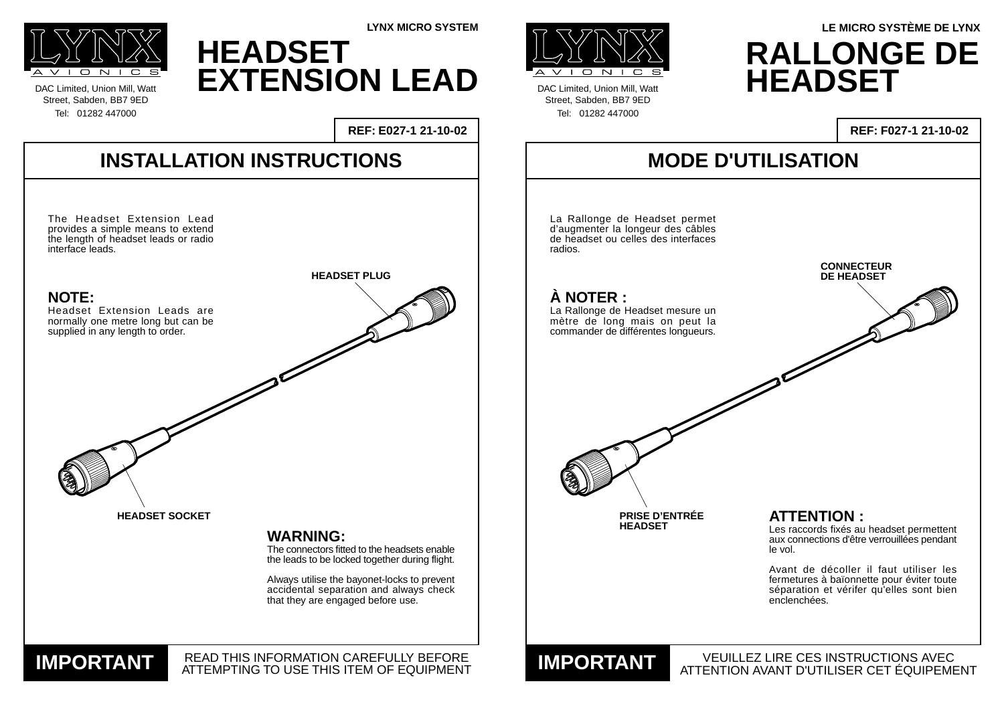**INSTALLATION INSTRUCTIONS**

READ THIS INFORMATION CAREFULLY BEFORE **IMPORTANT READ THIS INFORMATION CAREFULLY BEFORE** 

DAC Limited, Union Mill, Watt Street, Sabden, BB7 9ED Tel: 01282 447000





DAC Limited, Union Mill, Watt Street, Sabden, BB7 9ED Tel: 01282 447000

**REF: E027-1 21-10-02**

**LYNX MICRO SYSTEM**

### **MODE D'UTILISATION**

VEUILLEZ LIRE CES INSTRUCTIONS AVEC ATTENTION AVANT D'UTILISER CET ÉQUIPEMENT **IMPORTANT**

#### **REF: F027-1 21-10-02**

### **RALLONGE DE HEADSET LE MICRO SYSTÈME DE LYNX**

## **HEADSET EXTENSION LEAD**



#### **ATTENTION :**

Les raccords fixés au headset permettent aux connections d'être verrouillées pendant le vol.



Avant de décoller il faut utiliser les fermetures à baïonnette pour éviter toute séparation et vérifer qu'elles sont bien enclenchées.



**PRISE D'ENTRÉE**

**HEADSET**

#### **À NOTER :**

La Rallonge de Headset mesure un mètre de long mais on peut la commander de différentes longueurs.

La Rallonge de Headset permet d'augmenter la longeur des câbles de headset ou celles des interfaces radios.